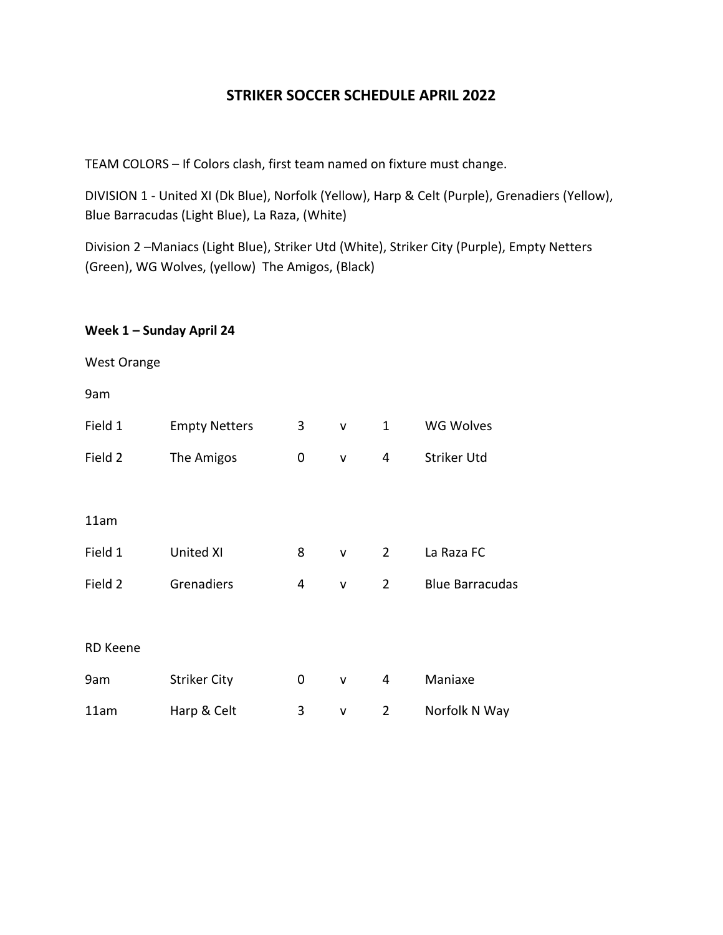### **STRIKER SOCCER SCHEDULE APRIL 2022**

TEAM COLORS – If Colors clash, first team named on fixture must change.

DIVISION 1 - United XI (Dk Blue), Norfolk (Yellow), Harp & Celt (Purple), Grenadiers (Yellow), Blue Barracudas (Light Blue), La Raza, (White)

Division 2 –Maniacs (Light Blue), Striker Utd (White), Striker City (Purple), Empty Netters (Green), WG Wolves, (yellow) The Amigos, (Black)

#### **Week 1 – Sunday April 24**

West Orange

9am

| Field 1         | <b>Empty Netters</b> | 3 | $\mathsf{v}$ | 1              | <b>WG Wolves</b>       |
|-----------------|----------------------|---|--------------|----------------|------------------------|
| Field 2         | The Amigos           | 0 | v            | 4              | Striker Utd            |
|                 |                      |   |              |                |                        |
| 11am            |                      |   |              |                |                        |
| Field 1         | United XI            | 8 | v            | $\overline{2}$ | La Raza FC             |
| Field 2         | Grenadiers           | 4 | v            | $\overline{2}$ | <b>Blue Barracudas</b> |
|                 |                      |   |              |                |                        |
| <b>RD Keene</b> |                      |   |              |                |                        |
| 9am             | <b>Striker City</b>  | 0 | v            | 4              | Maniaxe                |
| 11am            | Harp & Celt          | 3 | V            | $\overline{2}$ | Norfolk N Way          |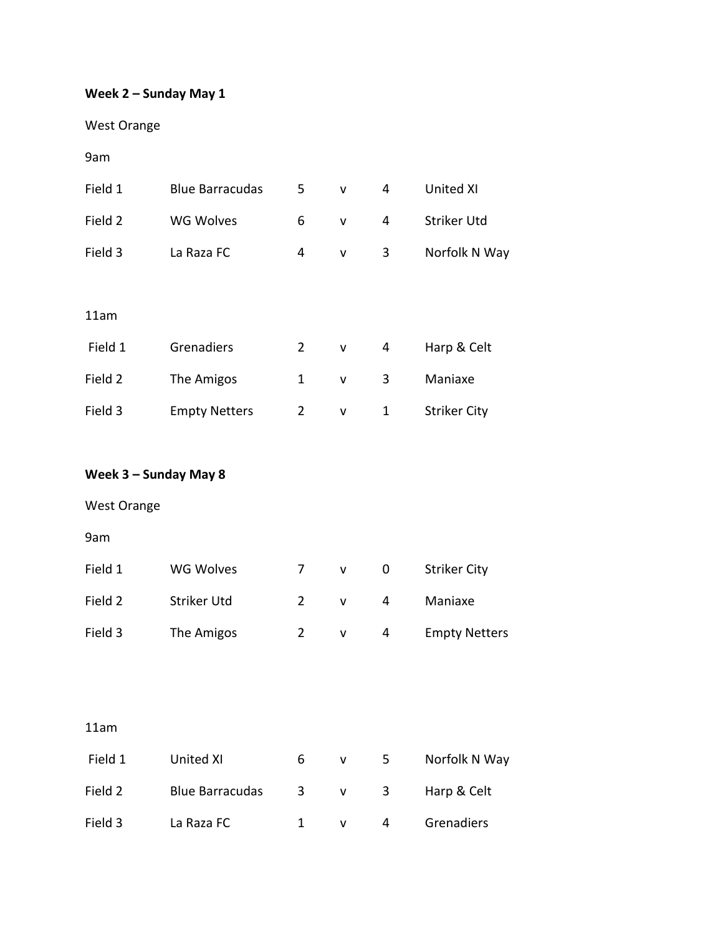# **Week 2 – Sunday May 1**

West Orange

9am

| Field 1 | <b>Blue Barracudas</b> | 5              | v | 4 | <b>United XI</b>    |
|---------|------------------------|----------------|---|---|---------------------|
| Field 2 | <b>WG Wolves</b>       | 6              | v | 4 | Striker Utd         |
| Field 3 | La Raza FC             | 4              | v | 3 | Norfolk N Way       |
|         |                        |                |   |   |                     |
| 11am    |                        |                |   |   |                     |
| Field 1 | Grenadiers             | $\overline{2}$ | v | 4 | Harp & Celt         |
| Field 2 | The Amigos             | 1              | V | 3 | Maniaxe             |
| Field 3 | <b>Empty Netters</b>   | 2              | v | 1 | <b>Striker City</b> |

### **Week 3 – Sunday May 8**

West Orange

9am

| Field 1 | WG Wolves   | v            |   | <b>Striker City</b>  |
|---------|-------------|--------------|---|----------------------|
| Field 2 | Striker Utd | $\mathbf{v}$ | Δ | Maniaxe              |
| Field 3 | The Amigos  |              |   | <b>Empty Netters</b> |

### 11am

| Field 1 | United XI              | 6  |              | $5 -$                   | Norfolk N Way |
|---------|------------------------|----|--------------|-------------------------|---------------|
| Field 2 | <b>Blue Barracudas</b> | -3 | $\mathsf{V}$ | $\overline{\mathbf{3}}$ | Harp & Celt   |
| Field 3 | La Raza FC             |    |              | 4                       | Grenadiers    |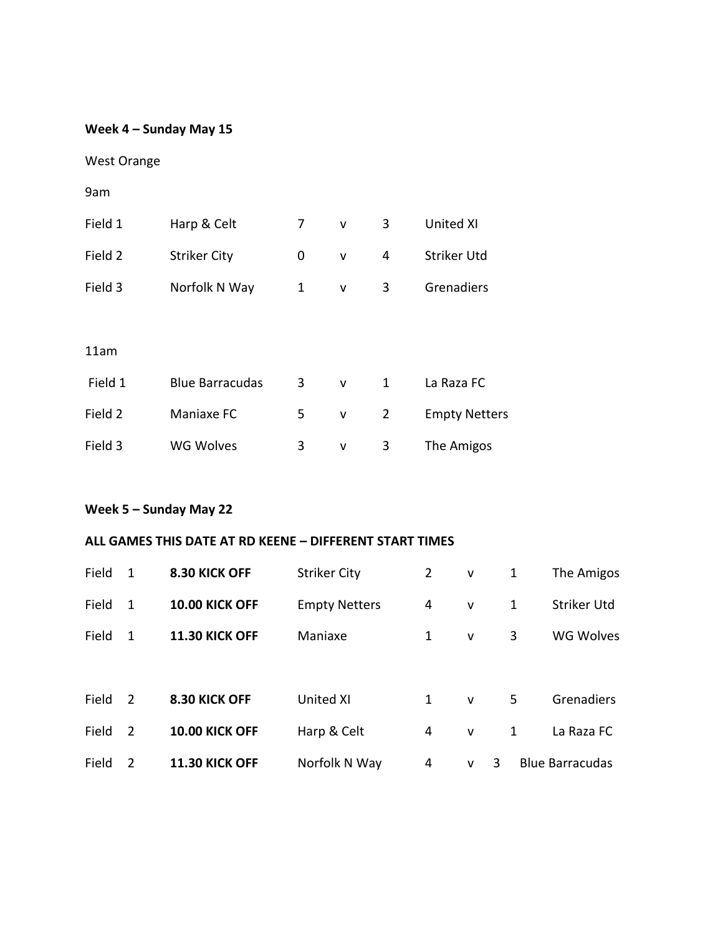### **Week 4 – Sunday May 15**

| <b>West Orange</b> |  |  |
|--------------------|--|--|
|--------------------|--|--|

9am

| Field 1 | Harp & Celt            | 7 | $\mathsf{V}$ | 3 | United XI            |
|---------|------------------------|---|--------------|---|----------------------|
| Field 2 | <b>Striker City</b>    | 0 | $\mathsf{v}$ | 4 | <b>Striker Utd</b>   |
| Field 3 | Norfolk N Way          | 1 | v            | 3 | Grenadiers           |
|         |                        |   |              |   |                      |
| 11am    |                        |   |              |   |                      |
| Field 1 | <b>Blue Barracudas</b> | 3 | v            | 1 | La Raza FC           |
| Field 2 | Maniaxe FC             | 5 | v            | 2 | <b>Empty Netters</b> |
| Field 3 | <b>WG Wolves</b>       | 3 | v            | 3 | The Amigos           |

# **Week 5 – Sunday May 22**

#### **ALL GAMES THIS DATE AT RD KEENE – DIFFERENT START TIMES**

| Field | 1              | 8.30 KICK OFF         | <b>Striker City</b>  | $\mathbf{2}$ | $\mathsf{V}$ | 1 | The Amigos             |
|-------|----------------|-----------------------|----------------------|--------------|--------------|---|------------------------|
| Field | 1              | <b>10.00 KICK OFF</b> | <b>Empty Netters</b> | 4            | $\mathsf{V}$ | 1 | Striker Utd            |
| Field | 1              | <b>11.30 KICK OFF</b> | Maniaxe              | 1            | $\mathsf{V}$ | 3 | <b>WG Wolves</b>       |
|       |                |                       |                      |              |              |   |                        |
| Field | 2              | 8.30 KICK OFF         | <b>United XI</b>     | $\mathbf{1}$ | $\mathsf{V}$ | 5 | Grenadiers             |
| Field | $\overline{2}$ | <b>10.00 KICK OFF</b> | Harp & Celt          | 4            | $\mathsf{V}$ | 1 | La Raza FC             |
| Field | 2              | <b>11.30 KICK OFF</b> | Norfolk N Way        | 4            | v            | 3 | <b>Blue Barracudas</b> |